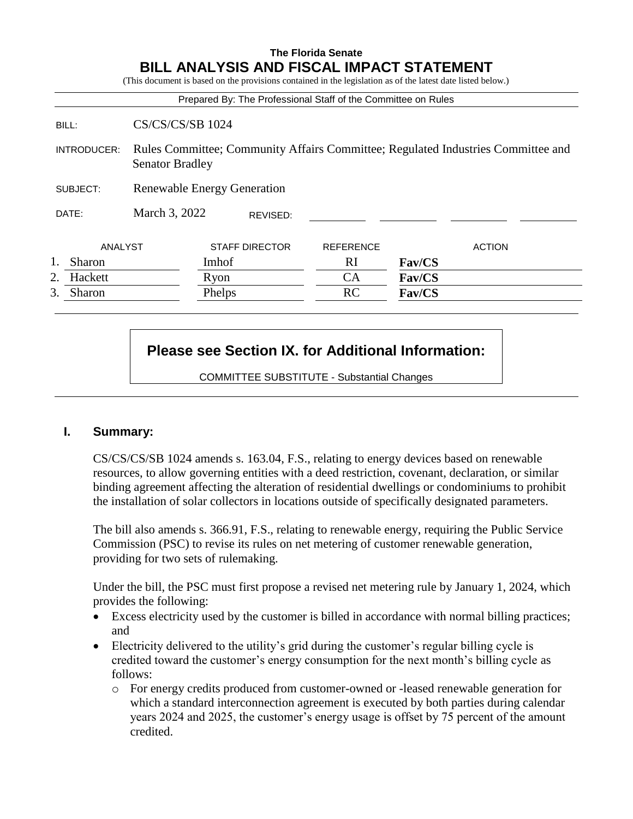## **The Florida Senate BILL ANALYSIS AND FISCAL IMPACT STATEMENT**

(This document is based on the provisions contained in the legislation as of the latest date listed below.)

|                                    |                                                                                                            |                       |  | Prepared By: The Professional Staff of the Committee on Rules |               |  |
|------------------------------------|------------------------------------------------------------------------------------------------------------|-----------------------|--|---------------------------------------------------------------|---------------|--|
| BILL:                              | <b>CS/CS/CS/SB 1024</b>                                                                                    |                       |  |                                                               |               |  |
| INTRODUCER:                        | Rules Committee; Community Affairs Committee; Regulated Industries Committee and<br><b>Senator Bradley</b> |                       |  |                                                               |               |  |
| SUBJECT:                           | <b>Renewable Energy Generation</b>                                                                         |                       |  |                                                               |               |  |
| March 3, 2022<br>DATE:<br>REVISED: |                                                                                                            |                       |  |                                                               |               |  |
| ANALYST                            |                                                                                                            | <b>STAFF DIRECTOR</b> |  | <b>REFERENCE</b>                                              | <b>ACTION</b> |  |
| Sharon                             |                                                                                                            | Imhof                 |  | <sub>RI</sub>                                                 | Fav/CS        |  |
| Hackett<br>2.                      |                                                                                                            | Ryon                  |  | <b>CA</b>                                                     | Fav/CS        |  |
| 3.<br>Sharon                       |                                                                                                            | Phelps                |  | RC                                                            | Fav/CS        |  |

# **Please see Section IX. for Additional Information:**

COMMITTEE SUBSTITUTE - Substantial Changes

## **I. Summary:**

CS/CS/CS/SB 1024 amends s. 163.04, F.S., relating to energy devices based on renewable resources, to allow governing entities with a deed restriction, covenant, declaration, or similar binding agreement affecting the alteration of residential dwellings or condominiums to prohibit the installation of solar collectors in locations outside of specifically designated parameters.

The bill also amends s. 366.91, F.S., relating to renewable energy, requiring the Public Service Commission (PSC) to revise its rules on net metering of customer renewable generation, providing for two sets of rulemaking.

Under the bill, the PSC must first propose a revised net metering rule by January 1, 2024, which provides the following:

- Excess electricity used by the customer is billed in accordance with normal billing practices; and
- Electricity delivered to the utility's grid during the customer's regular billing cycle is credited toward the customer's energy consumption for the next month's billing cycle as follows:
	- o For energy credits produced from customer-owned or -leased renewable generation for which a standard interconnection agreement is executed by both parties during calendar years 2024 and 2025, the customer's energy usage is offset by 75 percent of the amount credited.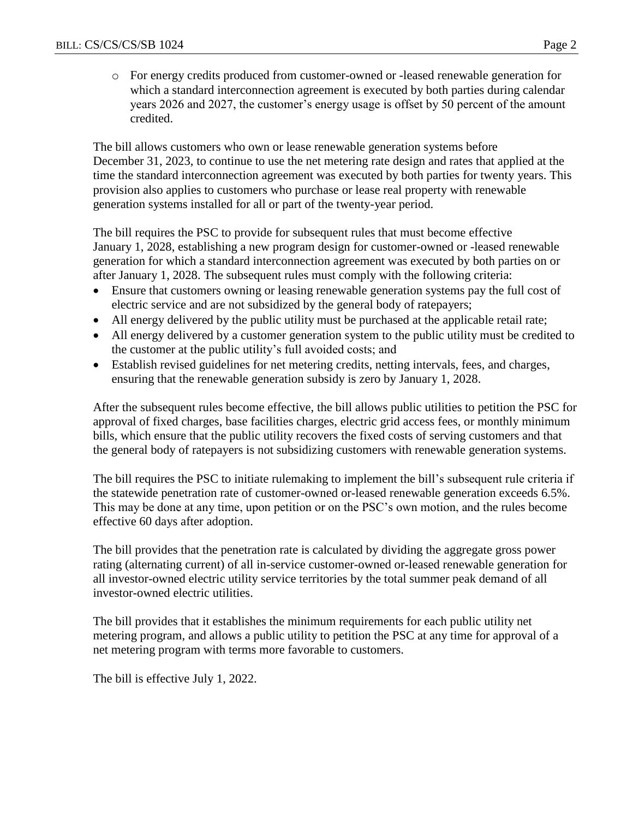o For energy credits produced from customer-owned or -leased renewable generation for which a standard interconnection agreement is executed by both parties during calendar years 2026 and 2027, the customer's energy usage is offset by 50 percent of the amount credited.

The bill allows customers who own or lease renewable generation systems before December 31, 2023, to continue to use the net metering rate design and rates that applied at the time the standard interconnection agreement was executed by both parties for twenty years. This provision also applies to customers who purchase or lease real property with renewable generation systems installed for all or part of the twenty-year period.

The bill requires the PSC to provide for subsequent rules that must become effective January 1, 2028, establishing a new program design for customer-owned or -leased renewable generation for which a standard interconnection agreement was executed by both parties on or after January 1, 2028. The subsequent rules must comply with the following criteria:

- Ensure that customers owning or leasing renewable generation systems pay the full cost of electric service and are not subsidized by the general body of ratepayers;
- All energy delivered by the public utility must be purchased at the applicable retail rate;
- All energy delivered by a customer generation system to the public utility must be credited to the customer at the public utility's full avoided costs; and
- Establish revised guidelines for net metering credits, netting intervals, fees, and charges, ensuring that the renewable generation subsidy is zero by January 1, 2028.

After the subsequent rules become effective, the bill allows public utilities to petition the PSC for approval of fixed charges, base facilities charges, electric grid access fees, or monthly minimum bills, which ensure that the public utility recovers the fixed costs of serving customers and that the general body of ratepayers is not subsidizing customers with renewable generation systems.

The bill requires the PSC to initiate rulemaking to implement the bill's subsequent rule criteria if the statewide penetration rate of customer-owned or-leased renewable generation exceeds 6.5%. This may be done at any time, upon petition or on the PSC's own motion, and the rules become effective 60 days after adoption.

The bill provides that the penetration rate is calculated by dividing the aggregate gross power rating (alternating current) of all in-service customer-owned or-leased renewable generation for all investor-owned electric utility service territories by the total summer peak demand of all investor-owned electric utilities.

The bill provides that it establishes the minimum requirements for each public utility net metering program, and allows a public utility to petition the PSC at any time for approval of a net metering program with terms more favorable to customers.

The bill is effective July 1, 2022.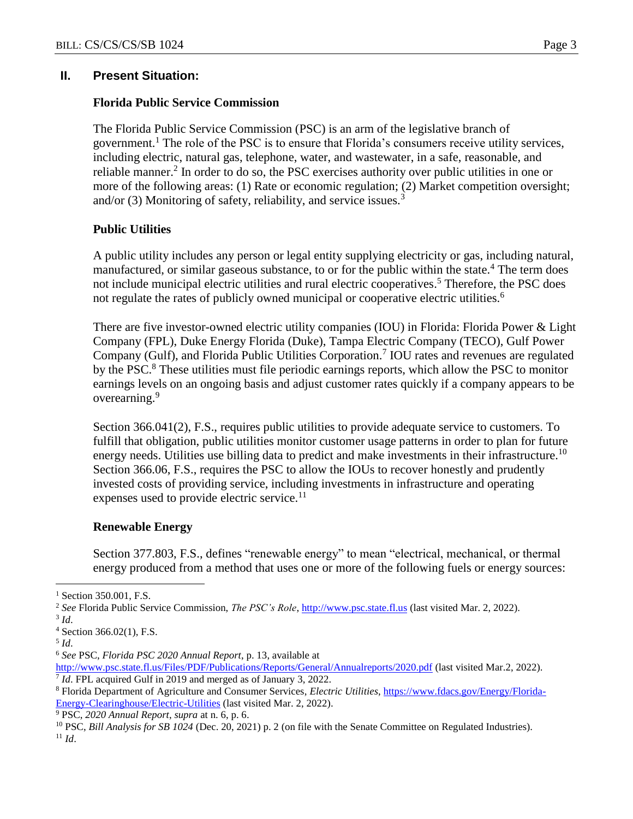## **II. Present Situation:**

#### **Florida Public Service Commission**

The Florida Public Service Commission (PSC) is an arm of the legislative branch of government.<sup>1</sup> The role of the PSC is to ensure that Florida's consumers receive utility services, including electric, natural gas, telephone, water, and wastewater, in a safe, reasonable, and reliable manner.<sup>2</sup> In order to do so, the PSC exercises authority over public utilities in one or more of the following areas: (1) Rate or economic regulation; (2) Market competition oversight; and/or (3) Monitoring of safety, reliability, and service issues.<sup>3</sup>

#### **Public Utilities**

A public utility includes any person or legal entity supplying electricity or gas, including natural, manufactured, or similar gaseous substance, to or for the public within the state.<sup>4</sup> The term does not include municipal electric utilities and rural electric cooperatives.<sup>5</sup> Therefore, the PSC does not regulate the rates of publicly owned municipal or cooperative electric utilities.<sup>6</sup>

There are five investor-owned electric utility companies (IOU) in Florida: Florida Power & Light Company (FPL), Duke Energy Florida (Duke), Tampa Electric Company (TECO), Gulf Power Company (Gulf), and Florida Public Utilities Corporation.<sup>7</sup> IOU rates and revenues are regulated by the PSC.<sup>8</sup> These utilities must file periodic earnings reports, which allow the PSC to monitor earnings levels on an ongoing basis and adjust customer rates quickly if a company appears to be overearning.<sup>9</sup>

Section 366.041(2), F.S., requires public utilities to provide adequate service to customers. To fulfill that obligation, public utilities monitor customer usage patterns in order to plan for future energy needs. Utilities use billing data to predict and make investments in their infrastructure.<sup>10</sup> Section 366.06, F.S., requires the PSC to allow the IOUs to recover honestly and prudently invested costs of providing service, including investments in infrastructure and operating expenses used to provide electric service.<sup>11</sup>

#### **Renewable Energy**

Section 377.803, F.S., defines "renewable energy" to mean "electrical, mechanical, or thermal energy produced from a method that uses one or more of the following fuels or energy sources:

 $\overline{a}$ 

<sup>9</sup> PSC, *2020 Annual Report*, *supra* at n. 6, p. 6.

<sup>&</sup>lt;sup>1</sup> Section 350.001, F.S.

<sup>2</sup> *See* Florida Public Service Commission, *The PSC's Role*, [http://www.psc.state.fl.us](http://www.psc.state.fl.us/) (last visited Mar. 2, 2022).

<sup>3</sup> *Id*.

<sup>4</sup> Section 366.02(1), F.S.

<sup>5</sup> *Id*.

<sup>6</sup> *See* PSC, *Florida PSC 2020 Annual Report*, p. 13, available at

<http://www.psc.state.fl.us/Files/PDF/Publications/Reports/General/Annualreports/2020.pdf> (last visited Mar.2, 2022). <sup>7</sup> *Id*. FPL acquired Gulf in 2019 and merged as of January 3, 2022.

<sup>&</sup>lt;sup>8</sup> Florida Department of Agriculture and Consumer Services, *Electric Utilities*, *https://www.fdacs.gov/Energy/Florida-*[Energy-Clearinghouse/Electric-Utilities](https://www.fdacs.gov/Energy/Florida-Energy-Clearinghouse/Electric-Utilities) (last visited Mar. 2, 2022).

<sup>10</sup> PSC, *Bill Analysis for SB 1024* (Dec. 20, 2021) p. 2 (on file with the Senate Committee on Regulated Industries).  $11$  *Id.*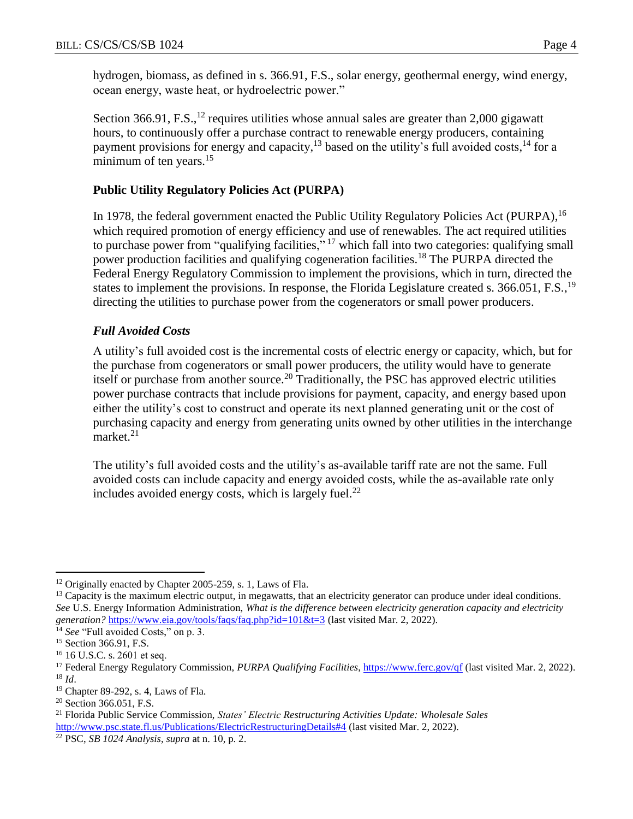hydrogen, biomass, as defined in s. 366.91, F.S., solar energy, geothermal energy, wind energy, ocean energy, waste heat, or hydroelectric power."

Section 366.91, F.S., $^{12}$  requires utilities whose annual sales are greater than 2,000 gigawatt hours, to continuously offer a purchase contract to renewable energy producers, containing payment provisions for energy and capacity,<sup>13</sup> based on the utility's full avoided costs,<sup>14</sup> for a minimum of ten years. $15$ 

# **Public Utility Regulatory Policies Act (PURPA)**

In 1978, the federal government enacted the Public Utility Regulatory Policies Act (PURPA), <sup>16</sup> which required promotion of energy efficiency and use of renewables. The act required utilities to purchase power from "qualifying facilities,"<sup>17</sup> which fall into two categories: qualifying small power production facilities and qualifying cogeneration facilities.<sup>18</sup> The PURPA directed the Federal Energy Regulatory Commission to implement the provisions, which in turn, directed the states to implement the provisions. In response, the Florida Legislature created s. 366.051, F.S.,<sup>19</sup> directing the utilities to purchase power from the cogenerators or small power producers.

## *Full Avoided Costs*

A utility's full avoided cost is the incremental costs of electric energy or capacity, which, but for the purchase from cogenerators or small power producers, the utility would have to generate itself or purchase from another source.<sup>20</sup> Traditionally, the PSC has approved electric utilities power purchase contracts that include provisions for payment, capacity, and energy based upon either the utility's cost to construct and operate its next planned generating unit or the cost of purchasing capacity and energy from generating units owned by other utilities in the interchange market. 21

The utility's full avoided costs and the utility's as-available tariff rate are not the same. Full avoided costs can include capacity and energy avoided costs, while the as-available rate only includes avoided energy costs, which is largely fuel. $^{22}$ 

 $\overline{a}$ <sup>12</sup> Originally enacted by Chapter 2005-259, s. 1, Laws of Fla.

<sup>&</sup>lt;sup>13</sup> Capacity is the maximum electric output, in megawatts, that an electricity generator can produce under ideal conditions. *See* U.S. Energy Information Administration, *What is the difference between electricity generation capacity and electricity generation?* <https://www.eia.gov/tools/faqs/faq.php?id=101&t=3> (last visited Mar. 2, 2022).

<sup>&</sup>lt;sup>14</sup> See "Full avoided Costs," on p. 3.

<sup>&</sup>lt;sup>15</sup> Section 366.91, F.S.

<sup>16</sup> 16 U.S.C. s. 2601 et seq.

<sup>17</sup> Federal Energy Regulatory Commission, *PURPA Qualifying Facilities*[, https://www.ferc.gov/qf](https://www.ferc.gov/qf) (last visited Mar. 2, 2022). <sup>18</sup> *Id*.

<sup>19</sup> Chapter 89-292, s. 4, Laws of Fla.

<sup>&</sup>lt;sup>20</sup> Section 366.051, F.S.

<sup>21</sup> Florida Public Service Commission, *States' Electric Restructuring Activities Update: Wholesale Sales* <http://www.psc.state.fl.us/Publications/ElectricRestructuringDetails#4> (last visited Mar. 2, 2022).

<sup>22</sup> PSC, *SB 1024 Analysis*, *supra* at n. 10, p. 2.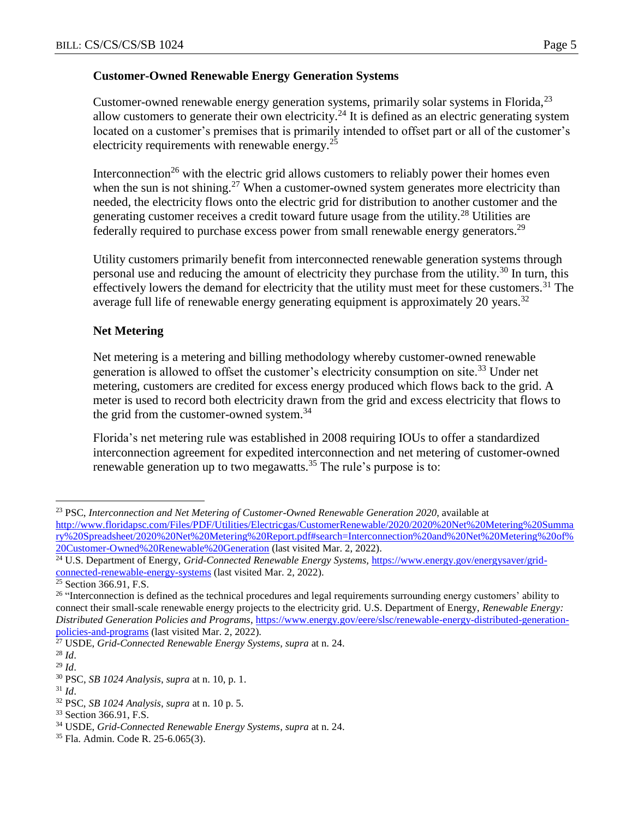## **Customer-Owned Renewable Energy Generation Systems**

Customer-owned renewable energy generation systems, primarily solar systems in Florida,<sup>23</sup> allow customers to generate their own electricity.<sup>24</sup> It is defined as an electric generating system located on a customer's premises that is primarily intended to offset part or all of the customer's electricity requirements with renewable energy.<sup>25</sup>

Interconnection<sup>26</sup> with the electric grid allows customers to reliably power their homes even when the sun is not shining.<sup>27</sup> When a customer-owned system generates more electricity than needed, the electricity flows onto the electric grid for distribution to another customer and the generating customer receives a credit toward future usage from the utility.<sup>28</sup> Utilities are federally required to purchase excess power from small renewable energy generators.<sup>29</sup>

Utility customers primarily benefit from interconnected renewable generation systems through personal use and reducing the amount of electricity they purchase from the utility.<sup>30</sup> In turn, this effectively lowers the demand for electricity that the utility must meet for these customers.<sup>31</sup> The average full life of renewable energy generating equipment is approximately 20 years.<sup>32</sup>

## **Net Metering**

Net metering is a metering and billing methodology whereby customer-owned renewable generation is allowed to offset the customer's electricity consumption on site.<sup>33</sup> Under net metering, customers are credited for excess energy produced which flows back to the grid. A meter is used to record both electricity drawn from the grid and excess electricity that flows to the grid from the customer-owned system.<sup>34</sup>

Florida's net metering rule was established in 2008 requiring IOUs to offer a standardized interconnection agreement for expedited interconnection and net metering of customer-owned renewable generation up to two megawatts.<sup>35</sup> The rule's purpose is to:

<sup>23</sup> PSC, *Interconnection and Net Metering of Customer-Owned Renewable Generation 2020*, available at [http://www.floridapsc.com/Files/PDF/Utilities/Electricgas/CustomerRenewable/2020/2020%20Net%20Metering%20Summa](http://www.floridapsc.com/Files/PDF/Utilities/Electricgas/CustomerRenewable/2020/2020%20Net%20Metering%20Summary%20Spreadsheet/2020%20Net%20Metering%20Report.pdf#search=Interconnection%20and%20Net%20Metering%20of%20Customer-Owned%20Renewable%20Generation) [ry%20Spreadsheet/2020%20Net%20Metering%20Report.pdf#search=Interconnection%20and%20Net%20Metering%20of%](http://www.floridapsc.com/Files/PDF/Utilities/Electricgas/CustomerRenewable/2020/2020%20Net%20Metering%20Summary%20Spreadsheet/2020%20Net%20Metering%20Report.pdf#search=Interconnection%20and%20Net%20Metering%20of%20Customer-Owned%20Renewable%20Generation) [20Customer-Owned%20Renewable%20Generation](http://www.floridapsc.com/Files/PDF/Utilities/Electricgas/CustomerRenewable/2020/2020%20Net%20Metering%20Summary%20Spreadsheet/2020%20Net%20Metering%20Report.pdf#search=Interconnection%20and%20Net%20Metering%20of%20Customer-Owned%20Renewable%20Generation) (last visited Mar. 2, 2022).

<sup>&</sup>lt;sup>24</sup> U.S. Department of Energy, *Grid-Connected Renewable Energy Systems*, [https://www.energy.gov/energysaver/grid](https://www.energy.gov/energysaver/grid-connected-renewable-energy-systems)[connected-renewable-energy-systems](https://www.energy.gov/energysaver/grid-connected-renewable-energy-systems) (last visited Mar. 2, 2022).

<sup>&</sup>lt;sup>25</sup> Section 366.91, F.S.

<sup>&</sup>lt;sup>26</sup> "Interconnection is defined as the technical procedures and legal requirements surrounding energy customers' ability to connect their small-scale renewable energy projects to the electricity grid. U.S. Department of Energy, *Renewable Energy: Distributed Generation Policies and Programs*, [https://www.energy.gov/eere/slsc/renewable-energy-distributed-generation](https://www.energy.gov/eere/slsc/renewable-energy-distributed-generation-policies-and-programs)[policies-and-programs](https://www.energy.gov/eere/slsc/renewable-energy-distributed-generation-policies-and-programs) (last visited Mar. 2, 2022).

<sup>27</sup> USDE, *Grid-Connected Renewable Energy Systems*, *supra* at n. 24.

<sup>28</sup> *Id*.

<sup>29</sup> *Id*.

<sup>30</sup> PSC, *SB 1024 Analysis*, *supra* at n. 10, p. 1.

 $31$  *Id.* 

<sup>32</sup> PSC, *SB 1024 Analysis*, *supra* at n. 10 p. 5.

<sup>&</sup>lt;sup>33</sup> Section 366.91, F.S.

<sup>34</sup> USDE, *Grid-Connected Renewable Energy Systems*, *supra* at n. 24.

<sup>35</sup> Fla. Admin. Code R. 25-6.065(3).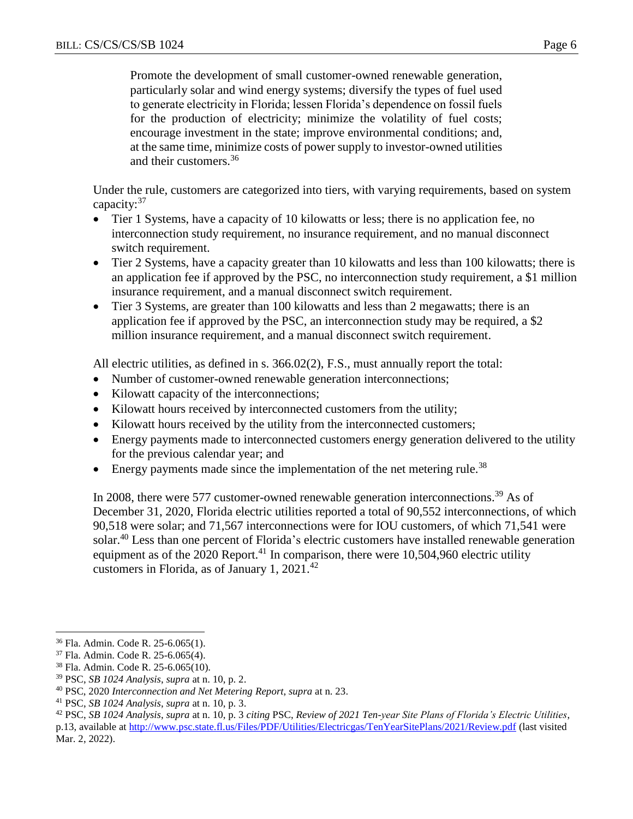Promote the development of small customer-owned renewable generation, particularly solar and wind energy systems; diversify the types of fuel used to generate electricity in Florida; lessen Florida's dependence on fossil fuels for the production of electricity; minimize the volatility of fuel costs; encourage investment in the state; improve environmental conditions; and, at the same time, minimize costs of power supply to investor-owned utilities and their customers.<sup>36</sup>

Under the rule, customers are categorized into tiers, with varying requirements, based on system capacity:<sup>37</sup>

- Tier 1 Systems, have a capacity of 10 kilowatts or less; there is no application fee, no interconnection study requirement, no insurance requirement, and no manual disconnect switch requirement.
- Tier 2 Systems, have a capacity greater than 10 kilowatts and less than 100 kilowatts; there is an application fee if approved by the PSC, no interconnection study requirement, a \$1 million insurance requirement, and a manual disconnect switch requirement.
- Tier 3 Systems, are greater than 100 kilowatts and less than 2 megawatts; there is an application fee if approved by the PSC, an interconnection study may be required, a \$2 million insurance requirement, and a manual disconnect switch requirement.

All electric utilities, as defined in s. 366.02(2), F.S., must annually report the total:

- Number of customer-owned renewable generation interconnections;
- Kilowatt capacity of the interconnections;
- Kilowatt hours received by interconnected customers from the utility;
- Kilowatt hours received by the utility from the interconnected customers;
- Energy payments made to interconnected customers energy generation delivered to the utility for the previous calendar year; and
- $\bullet$  Energy payments made since the implementation of the net metering rule.<sup>38</sup>

In 2008, there were 577 customer-owned renewable generation interconnections.<sup>39</sup> As of December 31, 2020, Florida electric utilities reported a total of 90,552 interconnections, of which 90,518 were solar; and 71,567 interconnections were for IOU customers, of which 71,541 were solar.<sup>40</sup> Less than one percent of Florida's electric customers have installed renewable generation equipment as of the  $2020$  Report.<sup>41</sup> In comparison, there were 10,504,960 electric utility customers in Florida, as of January 1,  $2021.^{42}$ 

<sup>36</sup> Fla. Admin. Code R. 25-6.065(1).

<sup>37</sup> Fla. Admin. Code R. 25-6.065(4).

<sup>38</sup> Fla. Admin. Code R. 25-6.065(10).

<sup>39</sup> PSC, *SB 1024 Analysis*, *supra* at n. 10, p. 2.

<sup>40</sup> PSC, 2020 *Interconnection and Net Metering Report*, *supra* at n. 23.

<sup>41</sup> PSC, *SB 1024 Analysis*, *supra* at n. 10, p. 3.

<sup>42</sup> PSC, *SB 1024 Analysis*, *supra* at n. 10, p. 3 *citing* PSC, *Review of 2021 Ten-year Site Plans of Florida's Electric Utilities*, p.13, available at<http://www.psc.state.fl.us/Files/PDF/Utilities/Electricgas/TenYearSitePlans/2021/Review.pdf> (last visited Mar. 2, 2022).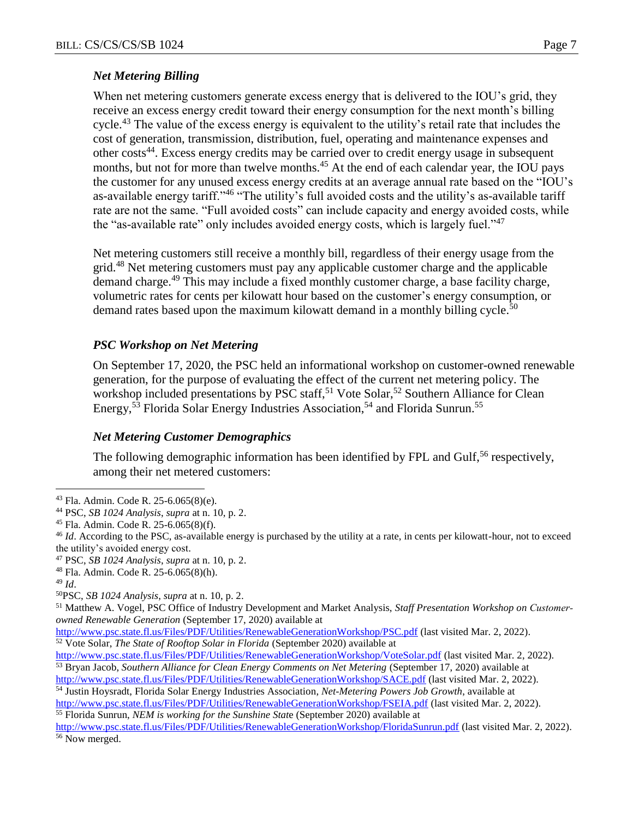## *Net Metering Billing*

When net metering customers generate excess energy that is delivered to the IOU's grid, they receive an excess energy credit toward their energy consumption for the next month's billing cycle.<sup>43</sup> The value of the excess energy is equivalent to the utility's retail rate that includes the cost of generation, transmission, distribution, fuel, operating and maintenance expenses and other costs<sup>44</sup>. Excess energy credits may be carried over to credit energy usage in subsequent months, but not for more than twelve months.<sup>45</sup> At the end of each calendar year, the IOU pays the customer for any unused excess energy credits at an average annual rate based on the "IOU's as-available energy tariff."<sup>46</sup> "The utility's full avoided costs and the utility's as-available tariff rate are not the same. "Full avoided costs" can include capacity and energy avoided costs, while the "as-available rate" only includes avoided energy costs, which is largely fuel."<sup>47</sup>

Net metering customers still receive a monthly bill, regardless of their energy usage from the grid.<sup>48</sup> Net metering customers must pay any applicable customer charge and the applicable demand charge.<sup>49</sup> This may include a fixed monthly customer charge, a base facility charge, volumetric rates for cents per kilowatt hour based on the customer's energy consumption, or demand rates based upon the maximum kilowatt demand in a monthly billing cycle.<sup>50</sup>

## *PSC Workshop on Net Metering*

On September 17, 2020, the PSC held an informational workshop on customer-owned renewable generation, for the purpose of evaluating the effect of the current net metering policy. The workshop included presentations by PSC staff,<sup>51</sup> Vote Solar,<sup>52</sup> Southern Alliance for Clean Energy,<sup>53</sup> Florida Solar Energy Industries Association,<sup>54</sup> and Florida Sunrun.<sup>55</sup>

## *Net Metering Customer Demographics*

The following demographic information has been identified by FPL and Gulf,  $56$  respectively, among their net metered customers:

<sup>43</sup> Fla. Admin. Code R. 25-6.065(8)(e).

<sup>44</sup> PSC, *SB 1024 Analysis*, *supra* at n. 10, p. 2.

<sup>45</sup> Fla. Admin. Code R. 25-6.065(8)(f).

<sup>&</sup>lt;sup>46</sup> *Id.* According to the PSC, as-available energy is purchased by the utility at a rate, in cents per kilowatt-hour, not to exceed the utility's avoided energy cost.

<sup>47</sup> PSC, *SB 1024 Analysis*, *supra* at n. 10, p. 2.

<sup>48</sup> Fla. Admin. Code R. 25-6.065(8)(h).

<sup>49</sup> *Id*.

<sup>50</sup>PSC, *SB 1024 Analysis*, *supra* at n. 10, p. 2.

<sup>51</sup> Matthew A. Vogel, PSC Office of Industry Development and Market Analysis, *Staff Presentation Workshop on Customer‐ owned Renewable Generation* (September 17, 2020) available at

<http://www.psc.state.fl.us/Files/PDF/Utilities/RenewableGenerationWorkshop/PSC.pdf> (last visited Mar. 2, 2022). <sup>52</sup> Vote Solar, *The State of Rooftop Solar in Florida* (September 2020) available at

<http://www.psc.state.fl.us/Files/PDF/Utilities/RenewableGenerationWorkshop/VoteSolar.pdf> (last visited Mar. 2, 2022).

<sup>53</sup> Bryan Jacob, *Southern Alliance for Clean Energy Comments on Net Metering* (September 17, 2020) available at <http://www.psc.state.fl.us/Files/PDF/Utilities/RenewableGenerationWorkshop/SACE.pdf> (last visited Mar. 2, 2022).

<sup>54</sup> Justin Hoysradt, Florida Solar Energy Industries Association, *Net-Metering Powers Job Growth*, available at <http://www.psc.state.fl.us/Files/PDF/Utilities/RenewableGenerationWorkshop/FSEIA.pdf> (last visited Mar. 2, 2022).

<sup>55</sup> Florida Sunrun, *NEM is working for the Sunshine Stat*e (September 2020) available at

<http://www.psc.state.fl.us/Files/PDF/Utilities/RenewableGenerationWorkshop/FloridaSunrun.pdf> (last visited Mar. 2, 2022). <sup>56</sup> Now merged.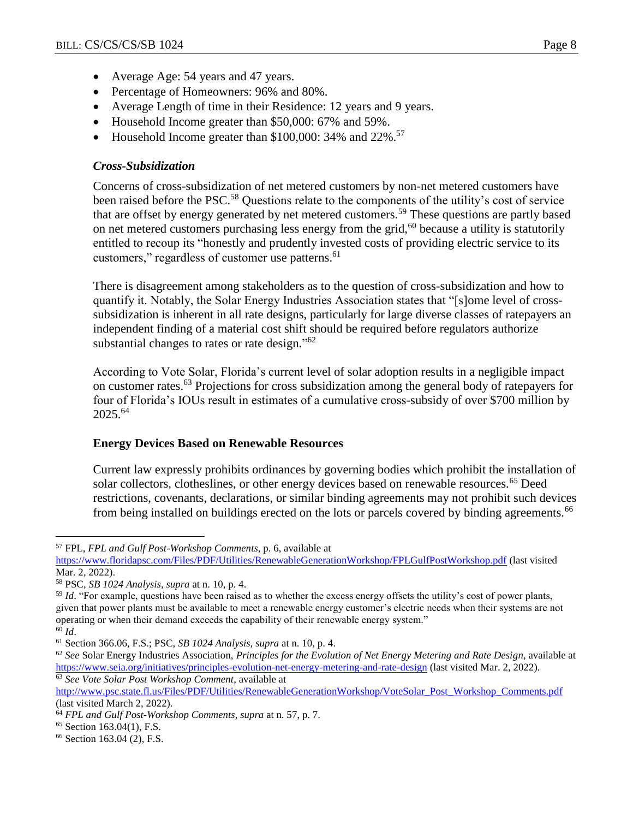- Average Age: 54 years and 47 years.
- Percentage of Homeowners: 96% and 80%.
- Average Length of time in their Residence: 12 years and 9 years.
- Household Income greater than \$50,000: 67% and 59%.
- Household Income greater than  $$100,000:34\%$  and  $22\%$ .<sup>57</sup>

## *Cross-Subsidization*

Concerns of cross-subsidization of net metered customers by non-net metered customers have been raised before the PSC.<sup>58</sup> Questions relate to the components of the utility's cost of service that are offset by energy generated by net metered customers.<sup>59</sup> These questions are partly based on net metered customers purchasing less energy from the grid,<sup>60</sup> because a utility is statutorily entitled to recoup its "honestly and prudently invested costs of providing electric service to its customers," regardless of customer use patterns.<sup>61</sup>

There is disagreement among stakeholders as to the question of cross-subsidization and how to quantify it. Notably, the Solar Energy Industries Association states that "[s]ome level of crosssubsidization is inherent in all rate designs, particularly for large diverse classes of ratepayers an independent finding of a material cost shift should be required before regulators authorize substantial changes to rates or rate design."<sup>62</sup>

According to Vote Solar, Florida's current level of solar adoption results in a negligible impact on customer rates.<sup>63</sup> Projections for cross subsidization among the general body of ratepayers for four of Florida's IOUs result in estimates of a cumulative cross-subsidy of over \$700 million by 2025.<sup>64</sup>

## **Energy Devices Based on Renewable Resources**

Current law expressly prohibits ordinances by governing bodies which prohibit the installation of solar collectors, clotheslines, or other energy devices based on renewable resources.<sup>65</sup> Deed restrictions, covenants, declarations, or similar binding agreements may not prohibit such devices from being installed on buildings erected on the lots or parcels covered by binding agreements.<sup>66</sup>

<sup>57</sup> FPL, *FPL and Gulf Post-Workshop Comments*, p. 6, available at

<https://www.floridapsc.com/Files/PDF/Utilities/RenewableGenerationWorkshop/FPLGulfPostWorkshop.pdf> (last visited Mar. 2, 2022).

<sup>58</sup> PSC, *SB 1024 Analysis*, *supra* at n. 10, p. 4.

<sup>&</sup>lt;sup>59</sup> *Id.* "For example, questions have been raised as to whether the excess energy offsets the utility's cost of power plants, given that power plants must be available to meet a renewable energy customer's electric needs when their systems are not operating or when their demand exceeds the capability of their renewable energy system." <sup>60</sup> *Id*.

<sup>61</sup> Section 366.06, F.S.; PSC, *SB 1024 Analysis*, *supra* at n. 10, p. 4.

<sup>62</sup> *See* Solar Energy Industries Association, *Principles for the Evolution of Net Energy Metering and Rate Design*, available at <https://www.seia.org/initiatives/principles-evolution-net-energy-metering-and-rate-design> (last visited Mar. 2, 2022). <sup>63</sup> *See Vote Solar Post Workshop Comment*, available at

[http://www.psc.state.fl.us/Files/PDF/Utilities/RenewableGenerationWorkshop/VoteSolar\\_Post\\_Workshop\\_Comments.pdf](http://www.psc.state.fl.us/Files/PDF/Utilities/RenewableGenerationWorkshop/VoteSolar_Post_Workshop_Comments.pdf) (last visited March 2, 2022).

<sup>64</sup> *FPL and Gulf Post-Workshop Comments*, *supra* at n. 57, p. 7.

<sup>65</sup> Section 163.04(1), F.S.

<sup>66</sup> Section 163.04 (2), F.S.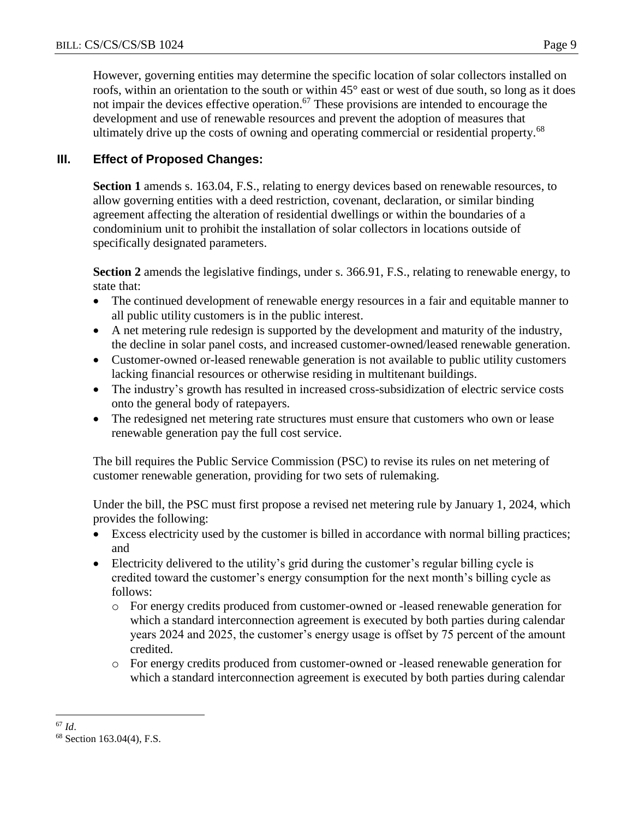However, governing entities may determine the specific location of solar collectors installed on roofs, within an orientation to the south or within 45° east or west of due south, so long as it does not impair the devices effective operation.<sup>67</sup> These provisions are intended to encourage the development and use of renewable resources and prevent the adoption of measures that ultimately drive up the costs of owning and operating commercial or residential property.<sup>68</sup>

## **III. Effect of Proposed Changes:**

**Section 1** amends s. 163.04, F.S., relating to energy devices based on renewable resources, to allow governing entities with a deed restriction, covenant, declaration, or similar binding agreement affecting the alteration of residential dwellings or within the boundaries of a condominium unit to prohibit the installation of solar collectors in locations outside of specifically designated parameters.

**Section 2** amends the legislative findings, under s. 366.91, F.S., relating to renewable energy, to state that:

- The continued development of renewable energy resources in a fair and equitable manner to all public utility customers is in the public interest.
- A net metering rule redesign is supported by the development and maturity of the industry, the decline in solar panel costs, and increased customer-owned/leased renewable generation.
- Customer-owned or-leased renewable generation is not available to public utility customers lacking financial resources or otherwise residing in multitenant buildings.
- The industry's growth has resulted in increased cross-subsidization of electric service costs onto the general body of ratepayers.
- The redesigned net metering rate structures must ensure that customers who own or lease renewable generation pay the full cost service.

The bill requires the Public Service Commission (PSC) to revise its rules on net metering of customer renewable generation, providing for two sets of rulemaking.

Under the bill, the PSC must first propose a revised net metering rule by January 1, 2024, which provides the following:

- Excess electricity used by the customer is billed in accordance with normal billing practices; and
- Electricity delivered to the utility's grid during the customer's regular billing cycle is credited toward the customer's energy consumption for the next month's billing cycle as follows:
	- o For energy credits produced from customer-owned or -leased renewable generation for which a standard interconnection agreement is executed by both parties during calendar years 2024 and 2025, the customer's energy usage is offset by 75 percent of the amount credited.
	- o For energy credits produced from customer-owned or -leased renewable generation for which a standard interconnection agreement is executed by both parties during calendar

 $\overline{a}$ <sup>67</sup> *Id*.

<sup>68</sup> Section 163.04(4), F.S.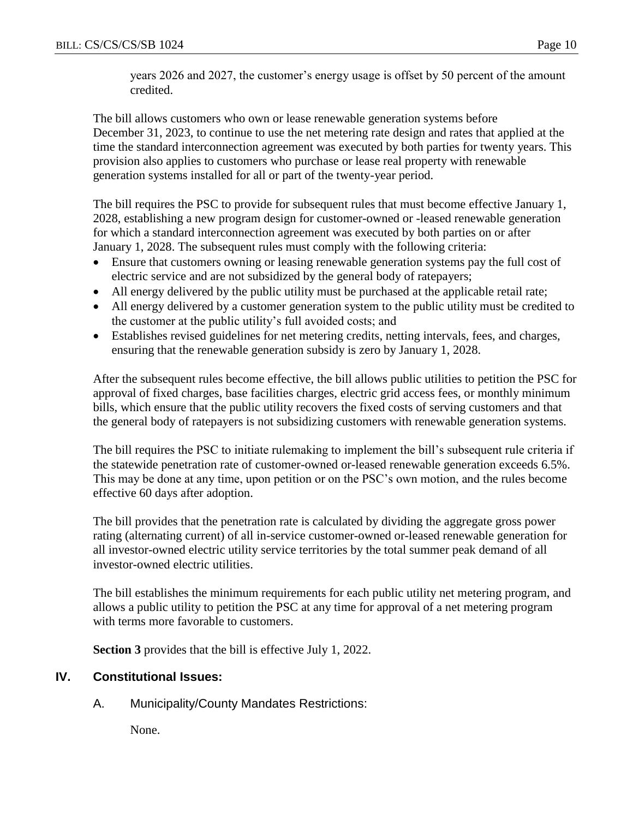years 2026 and 2027, the customer's energy usage is offset by 50 percent of the amount credited.

The bill allows customers who own or lease renewable generation systems before December 31, 2023, to continue to use the net metering rate design and rates that applied at the time the standard interconnection agreement was executed by both parties for twenty years. This provision also applies to customers who purchase or lease real property with renewable generation systems installed for all or part of the twenty-year period.

The bill requires the PSC to provide for subsequent rules that must become effective January 1, 2028, establishing a new program design for customer-owned or -leased renewable generation for which a standard interconnection agreement was executed by both parties on or after January 1, 2028. The subsequent rules must comply with the following criteria:

- Ensure that customers owning or leasing renewable generation systems pay the full cost of electric service and are not subsidized by the general body of ratepayers;
- All energy delivered by the public utility must be purchased at the applicable retail rate;
- All energy delivered by a customer generation system to the public utility must be credited to the customer at the public utility's full avoided costs; and
- Establishes revised guidelines for net metering credits, netting intervals, fees, and charges, ensuring that the renewable generation subsidy is zero by January 1, 2028.

After the subsequent rules become effective, the bill allows public utilities to petition the PSC for approval of fixed charges, base facilities charges, electric grid access fees, or monthly minimum bills, which ensure that the public utility recovers the fixed costs of serving customers and that the general body of ratepayers is not subsidizing customers with renewable generation systems.

The bill requires the PSC to initiate rulemaking to implement the bill's subsequent rule criteria if the statewide penetration rate of customer-owned or-leased renewable generation exceeds 6.5%. This may be done at any time, upon petition or on the PSC's own motion, and the rules become effective 60 days after adoption.

The bill provides that the penetration rate is calculated by dividing the aggregate gross power rating (alternating current) of all in-service customer-owned or-leased renewable generation for all investor-owned electric utility service territories by the total summer peak demand of all investor-owned electric utilities.

The bill establishes the minimum requirements for each public utility net metering program, and allows a public utility to petition the PSC at any time for approval of a net metering program with terms more favorable to customers.

**Section 3** provides that the bill is effective July 1, 2022.

# **IV. Constitutional Issues:**

A. Municipality/County Mandates Restrictions:

None.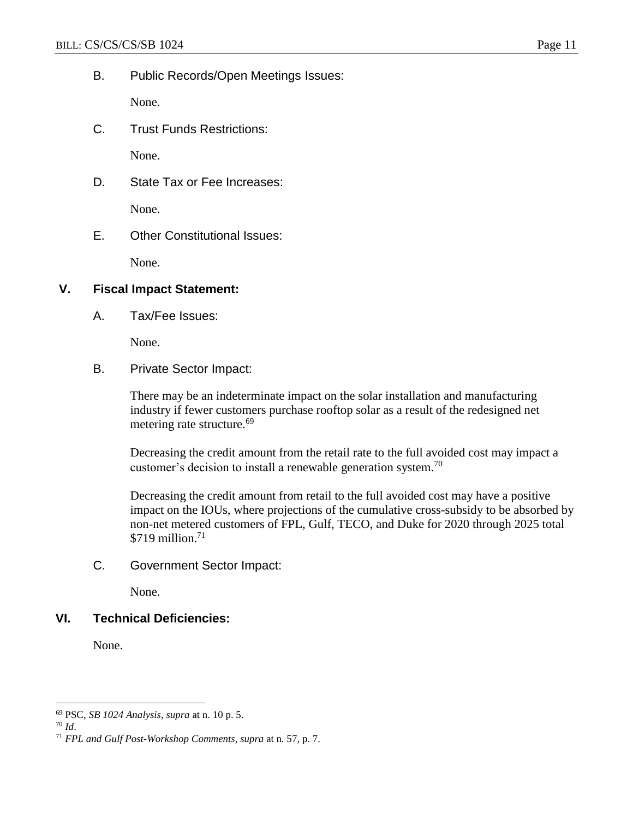B. Public Records/Open Meetings Issues:

None.

C. Trust Funds Restrictions:

None.

D. State Tax or Fee Increases:

None.

E. Other Constitutional Issues:

None.

#### **V. Fiscal Impact Statement:**

A. Tax/Fee Issues:

None.

B. Private Sector Impact:

There may be an indeterminate impact on the solar installation and manufacturing industry if fewer customers purchase rooftop solar as a result of the redesigned net metering rate structure.<sup>69</sup>

Decreasing the credit amount from the retail rate to the full avoided cost may impact a customer's decision to install a renewable generation system.<sup>70</sup>

Decreasing the credit amount from retail to the full avoided cost may have a positive impact on the IOUs, where projections of the cumulative cross-subsidy to be absorbed by non-net metered customers of FPL, Gulf, TECO, and Duke for 2020 through 2025 total \$719 million. 71

C. Government Sector Impact:

None.

## **VI. Technical Deficiencies:**

None.

 $\overline{a}$ <sup>69</sup> PSC, *SB 1024 Analysis*, *supra* at n. 10 p. 5.

<sup>70</sup> *Id*.

<sup>71</sup> *FPL and Gulf Post-Workshop Comments*, *supra* at n. 57, p. 7.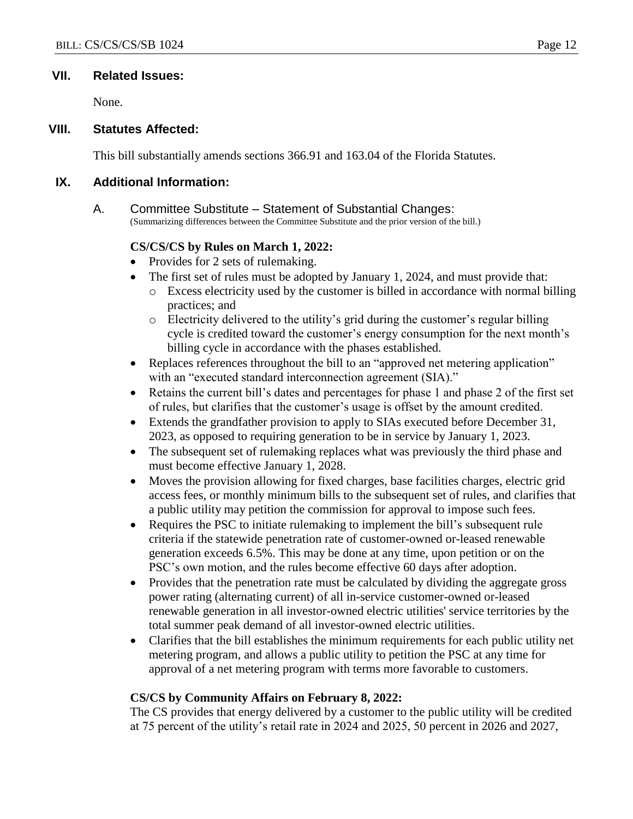#### **VII. Related Issues:**

None.

#### **VIII. Statutes Affected:**

This bill substantially amends sections 366.91 and 163.04 of the Florida Statutes.

#### **IX. Additional Information:**

A. Committee Substitute – Statement of Substantial Changes: (Summarizing differences between the Committee Substitute and the prior version of the bill.)

## **CS/CS/CS by Rules on March 1, 2022:**

- Provides for 2 sets of rulemaking.
- The first set of rules must be adopted by January 1, 2024, and must provide that:
	- o Excess electricity used by the customer is billed in accordance with normal billing practices; and
	- o Electricity delivered to the utility's grid during the customer's regular billing cycle is credited toward the customer's energy consumption for the next month's billing cycle in accordance with the phases established.
- Replaces references throughout the bill to an "approved net metering application" with an "executed standard interconnection agreement (SIA)."
- Retains the current bill's dates and percentages for phase 1 and phase 2 of the first set of rules, but clarifies that the customer's usage is offset by the amount credited.
- Extends the grandfather provision to apply to SIAs executed before December 31, 2023, as opposed to requiring generation to be in service by January 1, 2023.
- The subsequent set of rulemaking replaces what was previously the third phase and must become effective January 1, 2028.
- Moves the provision allowing for fixed charges, base facilities charges, electric grid access fees, or monthly minimum bills to the subsequent set of rules, and clarifies that a public utility may petition the commission for approval to impose such fees.
- Requires the PSC to initiate rulemaking to implement the bill's subsequent rule criteria if the statewide penetration rate of customer-owned or-leased renewable generation exceeds 6.5%. This may be done at any time, upon petition or on the PSC's own motion, and the rules become effective 60 days after adoption.
- Provides that the penetration rate must be calculated by dividing the aggregate gross power rating (alternating current) of all in-service customer-owned or-leased renewable generation in all investor-owned electric utilities' service territories by the total summer peak demand of all investor-owned electric utilities.
- Clarifies that the bill establishes the minimum requirements for each public utility net metering program, and allows a public utility to petition the PSC at any time for approval of a net metering program with terms more favorable to customers.

## **CS/CS by Community Affairs on February 8, 2022:**

The CS provides that energy delivered by a customer to the public utility will be credited at 75 percent of the utility's retail rate in 2024 and 2025, 50 percent in 2026 and 2027,